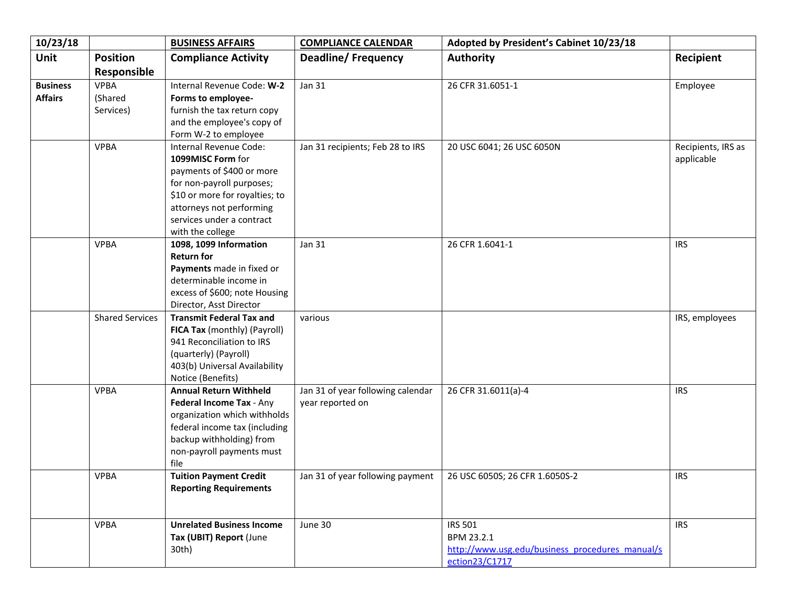| 10/23/18        |                        | <b>BUSINESS AFFAIRS</b>                            | <b>COMPLIANCE CALENDAR</b>        | Adopted by President's Cabinet 10/23/18         |                    |
|-----------------|------------------------|----------------------------------------------------|-----------------------------------|-------------------------------------------------|--------------------|
| Unit            | <b>Position</b>        | <b>Compliance Activity</b>                         | <b>Deadline/Frequency</b>         | <b>Authority</b>                                | Recipient          |
|                 | Responsible            |                                                    |                                   |                                                 |                    |
| <b>Business</b> | <b>VPBA</b>            | Internal Revenue Code: W-2                         | Jan 31                            | 26 CFR 31.6051-1                                | Employee           |
| <b>Affairs</b>  | (Shared                | Forms to employee-                                 |                                   |                                                 |                    |
|                 | Services)              | furnish the tax return copy                        |                                   |                                                 |                    |
|                 |                        | and the employee's copy of                         |                                   |                                                 |                    |
|                 |                        | Form W-2 to employee                               |                                   |                                                 |                    |
|                 | <b>VPBA</b>            | Internal Revenue Code:                             | Jan 31 recipients; Feb 28 to IRS  | 20 USC 6041; 26 USC 6050N                       | Recipients, IRS as |
|                 |                        | 1099MISC Form for                                  |                                   |                                                 | applicable         |
|                 |                        | payments of \$400 or more                          |                                   |                                                 |                    |
|                 |                        | for non-payroll purposes;                          |                                   |                                                 |                    |
|                 |                        | \$10 or more for royalties; to                     |                                   |                                                 |                    |
|                 |                        | attorneys not performing                           |                                   |                                                 |                    |
|                 |                        | services under a contract                          |                                   |                                                 |                    |
|                 |                        | with the college                                   |                                   |                                                 |                    |
|                 | <b>VPBA</b>            | 1098, 1099 Information                             | <b>Jan 31</b>                     | 26 CFR 1.6041-1                                 | <b>IRS</b>         |
|                 |                        | <b>Return for</b>                                  |                                   |                                                 |                    |
|                 |                        | Payments made in fixed or                          |                                   |                                                 |                    |
|                 |                        | determinable income in                             |                                   |                                                 |                    |
|                 |                        | excess of \$600; note Housing                      |                                   |                                                 |                    |
|                 |                        | Director, Asst Director                            |                                   |                                                 |                    |
|                 | <b>Shared Services</b> | <b>Transmit Federal Tax and</b>                    | various                           |                                                 | IRS, employees     |
|                 |                        | FICA Tax (monthly) (Payroll)                       |                                   |                                                 |                    |
|                 |                        | 941 Reconciliation to IRS                          |                                   |                                                 |                    |
|                 |                        | (quarterly) (Payroll)                              |                                   |                                                 |                    |
|                 |                        | 403(b) Universal Availability<br>Notice (Benefits) |                                   |                                                 |                    |
|                 | <b>VPBA</b>            | <b>Annual Return Withheld</b>                      | Jan 31 of year following calendar | 26 CFR 31.6011(a)-4                             | <b>IRS</b>         |
|                 |                        | Federal Income Tax - Any                           | year reported on                  |                                                 |                    |
|                 |                        | organization which withholds                       |                                   |                                                 |                    |
|                 |                        | federal income tax (including                      |                                   |                                                 |                    |
|                 |                        | backup withholding) from                           |                                   |                                                 |                    |
|                 |                        | non-payroll payments must                          |                                   |                                                 |                    |
|                 |                        | file                                               |                                   |                                                 |                    |
|                 | <b>VPBA</b>            | <b>Tuition Payment Credit</b>                      | Jan 31 of year following payment  | 26 USC 6050S; 26 CFR 1.6050S-2                  | <b>IRS</b>         |
|                 |                        | <b>Reporting Requirements</b>                      |                                   |                                                 |                    |
|                 |                        |                                                    |                                   |                                                 |                    |
|                 |                        |                                                    |                                   |                                                 |                    |
|                 | <b>VPBA</b>            | <b>Unrelated Business Income</b>                   | June 30                           | <b>IRS 501</b>                                  | <b>IRS</b>         |
|                 |                        | Tax (UBIT) Report (June                            |                                   | BPM 23.2.1                                      |                    |
|                 |                        | 30th)                                              |                                   | http://www.usg.edu/business procedures manual/s |                    |
|                 |                        |                                                    |                                   | ection23/C1717                                  |                    |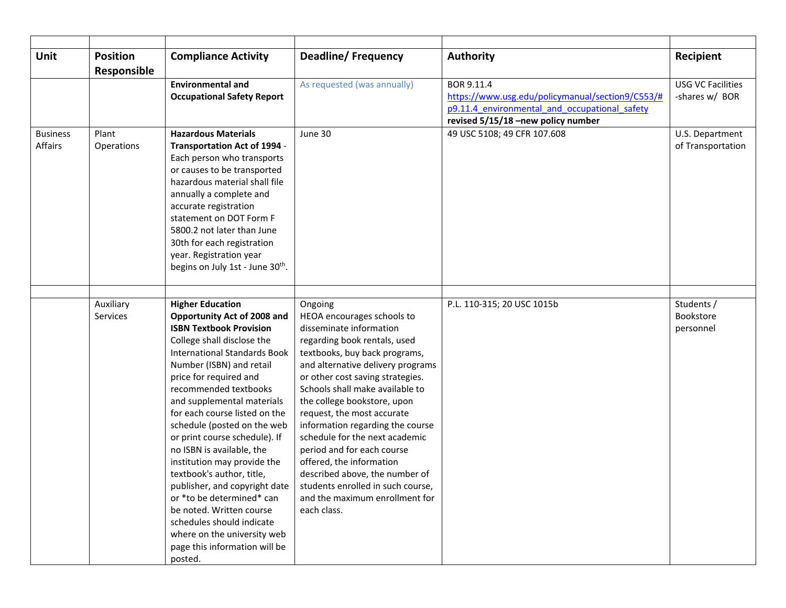| Unit                       | <b>Position</b>       | <b>Compliance Activity</b>                                                                                                                                                                                                                                                                                                                                                                                                                                                                                                                                                                                                                                             | <b>Deadline/Frequency</b>                                                                                                                                                                                                                                                                                                                                                                                                                                                                                                                                          | <b>Authority</b>                                                                                                                                      | Recipient                                  |
|----------------------------|-----------------------|------------------------------------------------------------------------------------------------------------------------------------------------------------------------------------------------------------------------------------------------------------------------------------------------------------------------------------------------------------------------------------------------------------------------------------------------------------------------------------------------------------------------------------------------------------------------------------------------------------------------------------------------------------------------|--------------------------------------------------------------------------------------------------------------------------------------------------------------------------------------------------------------------------------------------------------------------------------------------------------------------------------------------------------------------------------------------------------------------------------------------------------------------------------------------------------------------------------------------------------------------|-------------------------------------------------------------------------------------------------------------------------------------------------------|--------------------------------------------|
|                            | Responsible           |                                                                                                                                                                                                                                                                                                                                                                                                                                                                                                                                                                                                                                                                        |                                                                                                                                                                                                                                                                                                                                                                                                                                                                                                                                                                    |                                                                                                                                                       |                                            |
|                            |                       | <b>Environmental and</b><br><b>Occupational Safety Report</b>                                                                                                                                                                                                                                                                                                                                                                                                                                                                                                                                                                                                          | As requested (was annually)                                                                                                                                                                                                                                                                                                                                                                                                                                                                                                                                        | BOR 9.11.4<br>https://www.usg.edu/policymanual/section9/C553/#<br>p9.11.4 environmental and occupational safety<br>revised 5/15/18 -new policy number | <b>USG VC Facilities</b><br>-shares w/ BOR |
| <b>Business</b><br>Affairs | Plant<br>Operations   | <b>Hazardous Materials</b><br>Transportation Act of 1994 -<br>Each person who transports<br>or causes to be transported<br>hazardous material shall file<br>annually a complete and<br>accurate registration<br>statement on DOT Form F<br>5800.2 not later than June<br>30th for each registration<br>year. Registration year<br>begins on July 1st - June 30 <sup>th</sup> .                                                                                                                                                                                                                                                                                         | June 30                                                                                                                                                                                                                                                                                                                                                                                                                                                                                                                                                            | 49 USC 5108; 49 CFR 107.608                                                                                                                           | U.S. Department<br>of Transportation       |
|                            |                       |                                                                                                                                                                                                                                                                                                                                                                                                                                                                                                                                                                                                                                                                        |                                                                                                                                                                                                                                                                                                                                                                                                                                                                                                                                                                    |                                                                                                                                                       |                                            |
|                            | Auxiliary<br>Services | <b>Higher Education</b><br>Opportunity Act of 2008 and<br><b>ISBN Textbook Provision</b><br>College shall disclose the<br><b>International Standards Book</b><br>Number (ISBN) and retail<br>price for required and<br>recommended textbooks<br>and supplemental materials<br>for each course listed on the<br>schedule (posted on the web<br>or print course schedule). If<br>no ISBN is available, the<br>institution may provide the<br>textbook's author, title,<br>publisher, and copyright date<br>or *to be determined* can<br>be noted. Written course<br>schedules should indicate<br>where on the university web<br>page this information will be<br>posted. | Ongoing<br>HEOA encourages schools to<br>disseminate information<br>regarding book rentals, used<br>textbooks, buy back programs,<br>and alternative delivery programs<br>or other cost saving strategies.<br>Schools shall make available to<br>the college bookstore, upon<br>request, the most accurate<br>information regarding the course<br>schedule for the next academic<br>period and for each course<br>offered, the information<br>described above, the number of<br>students enrolled in such course,<br>and the maximum enrollment for<br>each class. | P.L. 110-315; 20 USC 1015b                                                                                                                            | Students /<br>Bookstore<br>personnel       |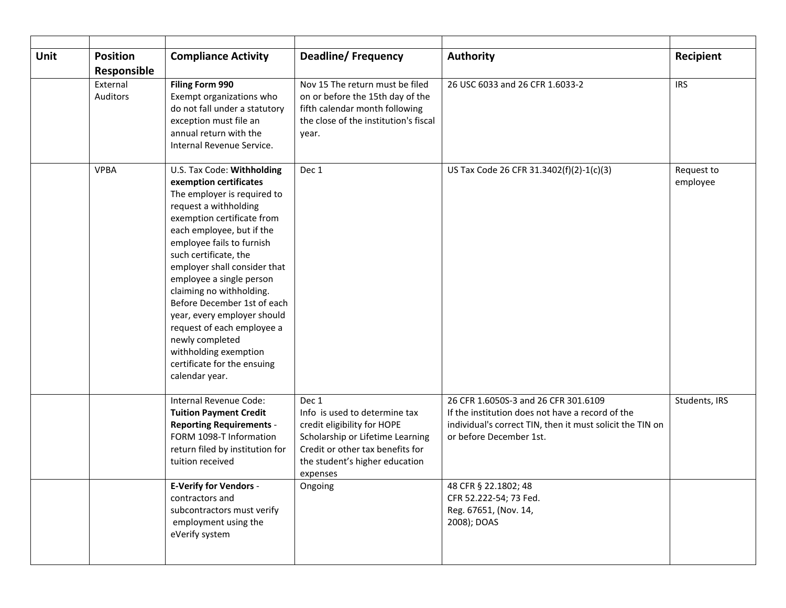| <b>Unit</b> | <b>Position</b>             | <b>Compliance Activity</b>                                                                                                                                                                                                                                                                                                                                                                                                                                                                                     | <b>Deadline/Frequency</b>                                                                                                                                                                   | Authority                                                                                                                                                                        | Recipient              |
|-------------|-----------------------------|----------------------------------------------------------------------------------------------------------------------------------------------------------------------------------------------------------------------------------------------------------------------------------------------------------------------------------------------------------------------------------------------------------------------------------------------------------------------------------------------------------------|---------------------------------------------------------------------------------------------------------------------------------------------------------------------------------------------|----------------------------------------------------------------------------------------------------------------------------------------------------------------------------------|------------------------|
|             | Responsible                 |                                                                                                                                                                                                                                                                                                                                                                                                                                                                                                                |                                                                                                                                                                                             |                                                                                                                                                                                  |                        |
|             | External<br><b>Auditors</b> | Filing Form 990<br>Exempt organizations who<br>do not fall under a statutory<br>exception must file an<br>annual return with the<br>Internal Revenue Service.                                                                                                                                                                                                                                                                                                                                                  | Nov 15 The return must be filed<br>on or before the 15th day of the<br>fifth calendar month following<br>the close of the institution's fiscal<br>year.                                     | 26 USC 6033 and 26 CFR 1.6033-2                                                                                                                                                  | <b>IRS</b>             |
|             | <b>VPBA</b>                 | U.S. Tax Code: Withholding<br>exemption certificates<br>The employer is required to<br>request a withholding<br>exemption certificate from<br>each employee, but if the<br>employee fails to furnish<br>such certificate, the<br>employer shall consider that<br>employee a single person<br>claiming no withholding.<br>Before December 1st of each<br>year, every employer should<br>request of each employee a<br>newly completed<br>withholding exemption<br>certificate for the ensuing<br>calendar year. | Dec 1                                                                                                                                                                                       | US Tax Code 26 CFR 31.3402(f)(2)-1(c)(3)                                                                                                                                         | Request to<br>employee |
|             |                             | Internal Revenue Code:<br><b>Tuition Payment Credit</b><br><b>Reporting Requirements -</b><br>FORM 1098-T Information<br>return filed by institution for<br>tuition received                                                                                                                                                                                                                                                                                                                                   | Dec 1<br>Info is used to determine tax<br>credit eligibility for HOPE<br>Scholarship or Lifetime Learning<br>Credit or other tax benefits for<br>the student's higher education<br>expenses | 26 CFR 1.6050S-3 and 26 CFR 301.6109<br>If the institution does not have a record of the<br>individual's correct TIN, then it must solicit the TIN on<br>or before December 1st. | Students, IRS          |
|             |                             | <b>E-Verify for Vendors -</b><br>contractors and<br>subcontractors must verify<br>employment using the<br>eVerify system                                                                                                                                                                                                                                                                                                                                                                                       | Ongoing                                                                                                                                                                                     | 48 CFR § 22.1802; 48<br>CFR 52.222-54; 73 Fed.<br>Reg. 67651, (Nov. 14,<br>2008); DOAS                                                                                           |                        |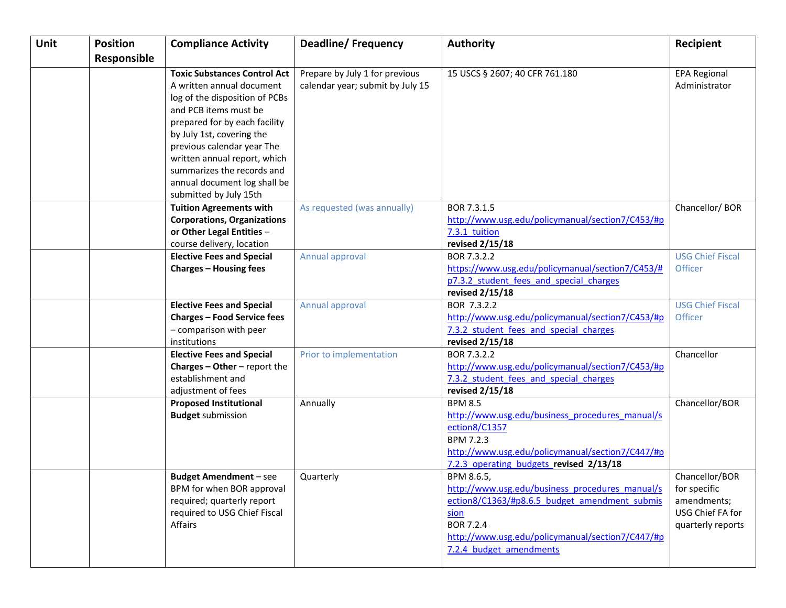| <b>Unit</b> | <b>Position</b> | <b>Compliance Activity</b>                               | <b>Deadline/Frequency</b>        | <b>Authority</b>                                          | Recipient               |
|-------------|-----------------|----------------------------------------------------------|----------------------------------|-----------------------------------------------------------|-------------------------|
|             | Responsible     |                                                          |                                  |                                                           |                         |
|             |                 | <b>Toxic Substances Control Act</b>                      | Prepare by July 1 for previous   | 15 USCS § 2607; 40 CFR 761.180                            | <b>EPA Regional</b>     |
|             |                 | A written annual document                                | calendar year; submit by July 15 |                                                           | Administrator           |
|             |                 | log of the disposition of PCBs                           |                                  |                                                           |                         |
|             |                 | and PCB items must be                                    |                                  |                                                           |                         |
|             |                 | prepared for by each facility                            |                                  |                                                           |                         |
|             |                 | by July 1st, covering the                                |                                  |                                                           |                         |
|             |                 | previous calendar year The                               |                                  |                                                           |                         |
|             |                 | written annual report, which                             |                                  |                                                           |                         |
|             |                 | summarizes the records and                               |                                  |                                                           |                         |
|             |                 | annual document log shall be                             |                                  |                                                           |                         |
|             |                 | submitted by July 15th<br><b>Tuition Agreements with</b> | As requested (was annually)      | BOR 7.3.1.5                                               | Chancellor/BOR          |
|             |                 | <b>Corporations, Organizations</b>                       |                                  | http://www.usg.edu/policymanual/section7/C453/#p          |                         |
|             |                 | or Other Legal Entities -                                |                                  | 7.3.1 tuition                                             |                         |
|             |                 | course delivery, location                                |                                  | revised 2/15/18                                           |                         |
|             |                 | <b>Elective Fees and Special</b>                         | Annual approval                  | BOR 7.3.2.2                                               | <b>USG Chief Fiscal</b> |
|             |                 | <b>Charges - Housing fees</b>                            |                                  | https://www.usg.edu/policymanual/section7/C453/#          | <b>Officer</b>          |
|             |                 |                                                          |                                  | p7.3.2 student fees and special charges                   |                         |
|             |                 |                                                          |                                  | revised 2/15/18                                           |                         |
|             |                 | <b>Elective Fees and Special</b>                         | Annual approval                  | BOR 7.3.2.2                                               | <b>USG Chief Fiscal</b> |
|             |                 | <b>Charges - Food Service fees</b>                       |                                  | http://www.usg.edu/policymanual/section7/C453/#p          | <b>Officer</b>          |
|             |                 | - comparison with peer                                   |                                  | 7.3.2 student fees and special charges                    |                         |
|             |                 | institutions                                             |                                  | revised 2/15/18                                           |                         |
|             |                 | <b>Elective Fees and Special</b>                         | Prior to implementation          | BOR 7.3.2.2                                               | Chancellor              |
|             |                 | <b>Charges - Other - report the</b>                      |                                  | http://www.usg.edu/policymanual/section7/C453/#p          |                         |
|             |                 | establishment and<br>adjustment of fees                  |                                  | 7.3.2 student fees and special charges<br>revised 2/15/18 |                         |
|             |                 | <b>Proposed Institutional</b>                            | Annually                         | <b>BPM 8.5</b>                                            | Chancellor/BOR          |
|             |                 | <b>Budget submission</b>                                 |                                  | http://www.usg.edu/business procedures manual/s           |                         |
|             |                 |                                                          |                                  | ection8/C1357                                             |                         |
|             |                 |                                                          |                                  | BPM 7.2.3                                                 |                         |
|             |                 |                                                          |                                  | http://www.usg.edu/policymanual/section7/C447/#p          |                         |
|             |                 |                                                          |                                  | 7.2.3 operating budgets revised 2/13/18                   |                         |
|             |                 | <b>Budget Amendment</b> – see                            | Quarterly                        | BPM 8.6.5,                                                | Chancellor/BOR          |
|             |                 | BPM for when BOR approval                                |                                  | http://www.usg.edu/business_procedures_manual/s           | for specific            |
|             |                 | required; quarterly report                               |                                  | ection8/C1363/#p8.6.5 budget amendment submis             | amendments;             |
|             |                 | required to USG Chief Fiscal                             |                                  | sion                                                      | USG Chief FA for        |
|             |                 | Affairs                                                  |                                  | <b>BOR 7.2.4</b>                                          | quarterly reports       |
|             |                 |                                                          |                                  | http://www.usg.edu/policymanual/section7/C447/#p          |                         |
|             |                 |                                                          |                                  | 7.2.4 budget amendments                                   |                         |
|             |                 |                                                          |                                  |                                                           |                         |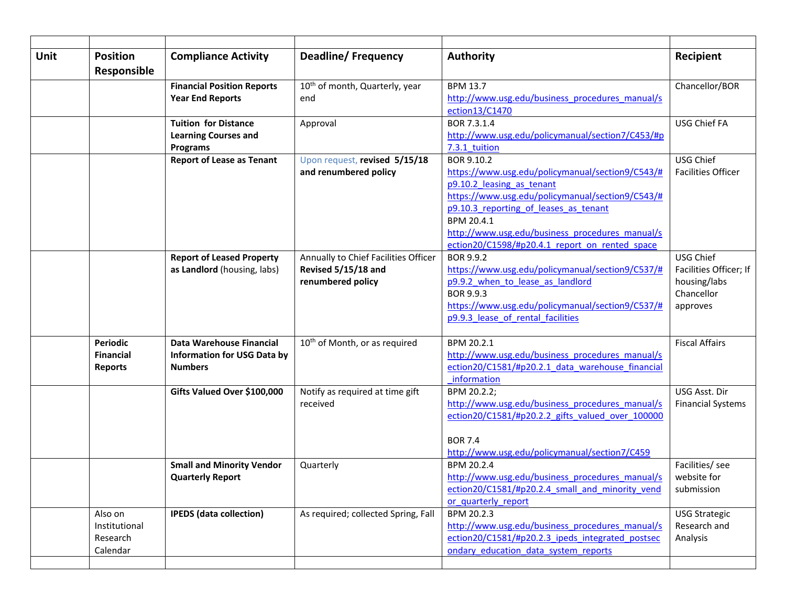| <b>Unit</b> | <b>Position</b><br>Responsible                        | <b>Compliance Activity</b>                                                       | <b>Deadline/Frequency</b>                                                        | <b>Authority</b>                                                                                                                                                                                                                                                                                            | Recipient                                                                     |
|-------------|-------------------------------------------------------|----------------------------------------------------------------------------------|----------------------------------------------------------------------------------|-------------------------------------------------------------------------------------------------------------------------------------------------------------------------------------------------------------------------------------------------------------------------------------------------------------|-------------------------------------------------------------------------------|
|             |                                                       | <b>Financial Position Reports</b><br><b>Year End Reports</b>                     | 10 <sup>th</sup> of month, Quarterly, year<br>end                                | <b>BPM 13.7</b><br>http://www.usg.edu/business procedures manual/s<br>ection13/C1470                                                                                                                                                                                                                        | Chancellor/BOR                                                                |
|             |                                                       | <b>Tuition for Distance</b><br><b>Learning Courses and</b><br><b>Programs</b>    | Approval                                                                         | BOR 7.3.1.4<br>http://www.usg.edu/policymanual/section7/C453/#p<br>7.3.1 tuition                                                                                                                                                                                                                            | <b>USG Chief FA</b>                                                           |
|             |                                                       | <b>Report of Lease as Tenant</b>                                                 | Upon request, revised 5/15/18<br>and renumbered policy                           | BOR 9.10.2<br>https://www.usg.edu/policymanual/section9/C543/#<br>p9.10.2 leasing as tenant<br>https://www.usg.edu/policymanual/section9/C543/#<br>p9.10.3 reporting of leases as tenant<br>BPM 20.4.1<br>http://www.usg.edu/business procedures manual/s<br>ection20/C1598/#p20.4.1 report on rented space | USG Chief<br><b>Facilities Officer</b>                                        |
|             |                                                       | <b>Report of Leased Property</b><br>as Landlord (housing, labs)                  | Annually to Chief Facilities Officer<br>Revised 5/15/18 and<br>renumbered policy | BOR 9.9.2<br>https://www.usg.edu/policymanual/section9/C537/#<br>p9.9.2 when to lease as landlord<br>BOR 9.9.3<br>https://www.usg.edu/policymanual/section9/C537/#<br>p9.9.3 lease of rental facilities                                                                                                     | USG Chief<br>Facilities Officer; If<br>housing/labs<br>Chancellor<br>approves |
|             | <b>Periodic</b><br><b>Financial</b><br><b>Reports</b> | Data Warehouse Financial<br><b>Information for USG Data by</b><br><b>Numbers</b> | 10 <sup>th</sup> of Month, or as required                                        | BPM 20.2.1<br>http://www.usg.edu/business procedures manual/s<br>ection20/C1581/#p20.2.1 data warehouse financial<br>information                                                                                                                                                                            | <b>Fiscal Affairs</b>                                                         |
|             |                                                       | Gifts Valued Over \$100,000                                                      | Notify as required at time gift<br>received                                      | BPM 20.2.2;<br>http://www.usg.edu/business procedures manual/s<br>ection20/C1581/#p20.2.2 gifts valued over 100000<br><b>BOR 7.4</b><br>http://www.usg.edu/policymanual/section7/C459                                                                                                                       | USG Asst. Dir<br><b>Financial Systems</b>                                     |
|             |                                                       | <b>Small and Minority Vendor</b><br><b>Quarterly Report</b>                      | Quarterly                                                                        | BPM 20.2.4<br>http://www.usg.edu/business procedures manual/s<br>ection20/C1581/#p20.2.4 small and minority vend<br>or quarterly report                                                                                                                                                                     | Facilities/ see<br>website for<br>submission                                  |
|             | Also on<br>Institutional<br>Research<br>Calendar      | <b>IPEDS</b> (data collection)                                                   | As required; collected Spring, Fall                                              | BPM 20.2.3<br>http://www.usg.edu/business procedures manual/s<br>ection20/C1581/#p20.2.3 ipeds integrated postsec<br>ondary education data system reports                                                                                                                                                   | <b>USG Strategic</b><br>Research and<br>Analysis                              |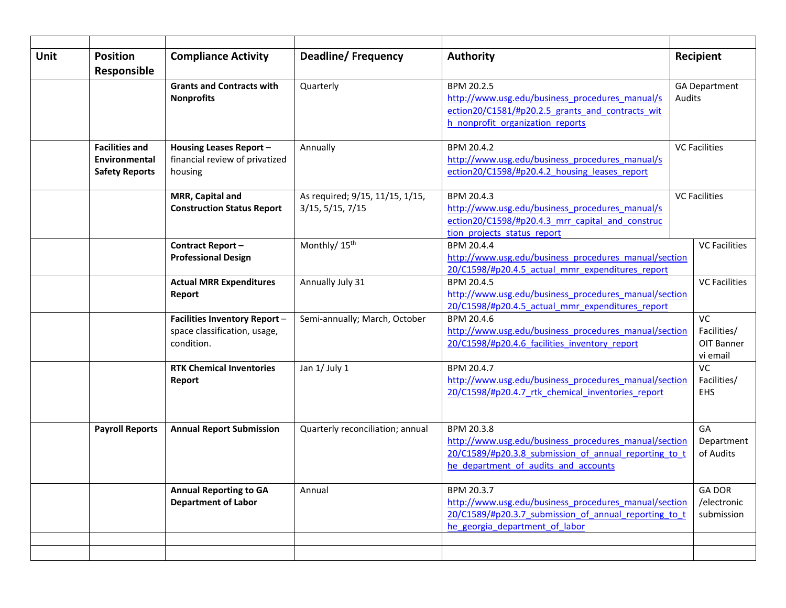| <b>Unit</b> | <b>Position</b>        | <b>Compliance Activity</b>        | <b>Deadline/Frequency</b>        | <b>Authority</b>                                               | Recipient            |
|-------------|------------------------|-----------------------------------|----------------------------------|----------------------------------------------------------------|----------------------|
|             | Responsible            |                                   |                                  |                                                                |                      |
|             |                        | <b>Grants and Contracts with</b>  | Quarterly                        | BPM 20.2.5                                                     | <b>GA Department</b> |
|             |                        | <b>Nonprofits</b>                 |                                  | http://www.usg.edu/business procedures manual/s                | <b>Audits</b>        |
|             |                        |                                   |                                  | ection20/C1581/#p20.2.5 grants and contracts wit               |                      |
|             |                        |                                   |                                  | h nonprofit organization reports                               |                      |
|             | <b>Facilities and</b>  | Housing Leases Report -           | Annually                         | BPM 20.4.2                                                     | <b>VC Facilities</b> |
|             | Environmental          | financial review of privatized    |                                  | http://www.usg.edu/business procedures manual/s                |                      |
|             | <b>Safety Reports</b>  | housing                           |                                  | ection20/C1598/#p20.4.2 housing leases report                  |                      |
|             |                        |                                   |                                  |                                                                |                      |
|             |                        | MRR, Capital and                  | As required; 9/15, 11/15, 1/15,  | BPM 20.4.3                                                     | <b>VC Facilities</b> |
|             |                        | <b>Construction Status Report</b> | $3/15$ , $5/15$ , $7/15$         | http://www.usg.edu/business procedures manual/s                |                      |
|             |                        |                                   |                                  | ection20/C1598/#p20.4.3 mrr capital and construc               |                      |
|             |                        |                                   |                                  | tion projects status report                                    |                      |
|             |                        | Contract Report-                  | Monthly/ 15 <sup>th</sup>        | BPM 20.4.4                                                     | <b>VC Facilities</b> |
|             |                        | <b>Professional Design</b>        |                                  | http://www.usg.edu/business_procedures_manual/section          |                      |
|             |                        |                                   |                                  | 20/C1598/#p20.4.5 actual mmr expenditures report<br>BPM 20.4.5 |                      |
|             |                        | <b>Actual MRR Expenditures</b>    | Annually July 31                 | http://www.usg.edu/business_procedures_manual/section          | <b>VC Facilities</b> |
|             |                        | Report                            |                                  | 20/C1598/#p20.4.5 actual mmr expenditures report               |                      |
|             |                        | Facilities Inventory Report -     | Semi-annually; March, October    | BPM 20.4.6                                                     | <b>VC</b>            |
|             |                        | space classification, usage,      |                                  | http://www.usg.edu/business_procedures_manual/section          | Facilities/          |
|             |                        | condition.                        |                                  | 20/C1598/#p20.4.6 facilities inventory report                  | OIT Banner           |
|             |                        |                                   |                                  |                                                                | vi email             |
|             |                        | <b>RTK Chemical Inventories</b>   | Jan 1/ July 1                    | BPM 20.4.7                                                     | <b>VC</b>            |
|             |                        | Report                            |                                  | http://www.usg.edu/business procedures manual/section          | Facilities/          |
|             |                        |                                   |                                  | 20/C1598/#p20.4.7 rtk chemical inventories report              | <b>EHS</b>           |
|             |                        |                                   |                                  |                                                                |                      |
|             | <b>Payroll Reports</b> | <b>Annual Report Submission</b>   | Quarterly reconciliation; annual | BPM 20.3.8                                                     | GA                   |
|             |                        |                                   |                                  | http://www.usg.edu/business procedures manual/section          | Department           |
|             |                        |                                   |                                  | 20/C1589/#p20.3.8 submission of annual reporting to t          | of Audits            |
|             |                        |                                   |                                  | he department of audits and accounts                           |                      |
|             |                        |                                   |                                  |                                                                |                      |
|             |                        | <b>Annual Reporting to GA</b>     | Annual                           | BPM 20.3.7                                                     | <b>GA DOR</b>        |
|             |                        | <b>Department of Labor</b>        |                                  | http://www.usg.edu/business procedures manual/section          | /electronic          |
|             |                        |                                   |                                  | 20/C1589/#p20.3.7 submission of annual reporting to t          | submission           |
|             |                        |                                   |                                  | he georgia department of labor                                 |                      |
|             |                        |                                   |                                  |                                                                |                      |
|             |                        |                                   |                                  |                                                                |                      |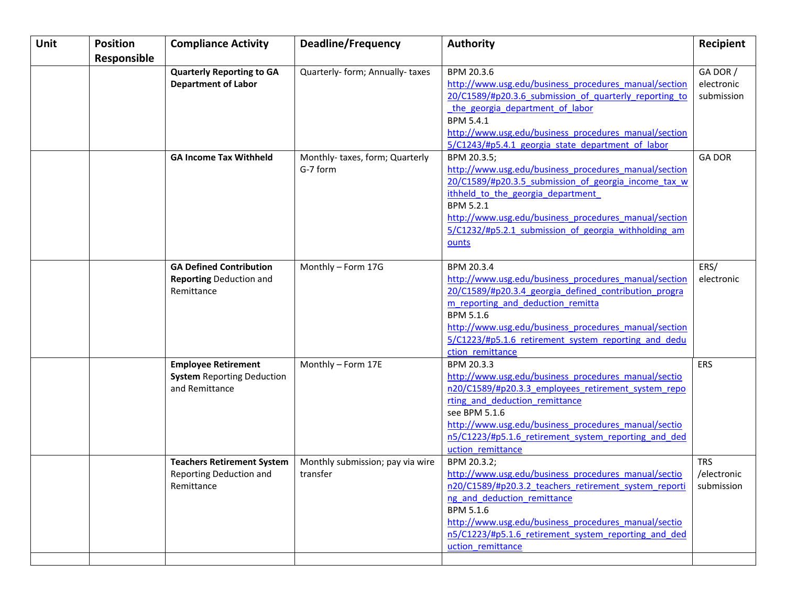| <b>Unit</b> | <b>Position</b> | <b>Compliance Activity</b>        | <b>Deadline/Frequency</b>        | <b>Authority</b>                                       | Recipient     |
|-------------|-----------------|-----------------------------------|----------------------------------|--------------------------------------------------------|---------------|
|             | Responsible     |                                   |                                  |                                                        |               |
|             |                 | <b>Quarterly Reporting to GA</b>  | Quarterly- form; Annually- taxes | BPM 20.3.6                                             | GA DOR /      |
|             |                 | <b>Department of Labor</b>        |                                  | http://www.usg.edu/business procedures manual/section  | electronic    |
|             |                 |                                   |                                  | 20/C1589/#p20.3.6 submission of quarterly reporting to | submission    |
|             |                 |                                   |                                  | the georgia department of labor                        |               |
|             |                 |                                   |                                  | <b>BPM 5.4.1</b>                                       |               |
|             |                 |                                   |                                  | http://www.usg.edu/business procedures manual/section  |               |
|             |                 |                                   |                                  | 5/C1243/#p5.4.1 georgia state department of labor      |               |
|             |                 | <b>GA Income Tax Withheld</b>     | Monthly-taxes, form; Quarterly   | BPM 20.3.5;                                            | <b>GA DOR</b> |
|             |                 |                                   | G-7 form                         | http://www.usg.edu/business procedures manual/section  |               |
|             |                 |                                   |                                  | 20/C1589/#p20.3.5 submission of georgia income tax w   |               |
|             |                 |                                   |                                  | ithheld to the georgia department                      |               |
|             |                 |                                   |                                  | BPM 5.2.1                                              |               |
|             |                 |                                   |                                  | http://www.usg.edu/business procedures manual/section  |               |
|             |                 |                                   |                                  | 5/C1232/#p5.2.1 submission of georgia withholding am   |               |
|             |                 |                                   |                                  | ounts                                                  |               |
|             |                 |                                   |                                  |                                                        |               |
|             |                 | <b>GA Defined Contribution</b>    | Monthly - Form 17G               | BPM 20.3.4                                             | ERS/          |
|             |                 | <b>Reporting Deduction and</b>    |                                  | http://www.usg.edu/business procedures manual/section  | electronic    |
|             |                 | Remittance                        |                                  | 20/C1589/#p20.3.4 georgia defined contribution progra  |               |
|             |                 |                                   |                                  | m reporting and deduction remitta                      |               |
|             |                 |                                   |                                  | <b>BPM 5.1.6</b>                                       |               |
|             |                 |                                   |                                  | http://www.usg.edu/business procedures manual/section  |               |
|             |                 |                                   |                                  | 5/C1223/#p5.1.6 retirement system reporting and dedu   |               |
|             |                 |                                   |                                  | ction remittance                                       |               |
|             |                 | <b>Employee Retirement</b>        | Monthly - Form 17E               | BPM 20.3.3                                             | <b>ERS</b>    |
|             |                 | <b>System Reporting Deduction</b> |                                  | http://www.usg.edu/business procedures manual/sectio   |               |
|             |                 | and Remittance                    |                                  | n20/C1589/#p20.3.3 employees retirement system repo    |               |
|             |                 |                                   |                                  | rting and deduction remittance                         |               |
|             |                 |                                   |                                  | see BPM 5.1.6                                          |               |
|             |                 |                                   |                                  | http://www.usg.edu/business procedures manual/sectio   |               |
|             |                 |                                   |                                  | n5/C1223/#p5.1.6 retirement system reporting and ded   |               |
|             |                 |                                   |                                  | uction remittance                                      |               |
|             |                 | <b>Teachers Retirement System</b> | Monthly submission; pay via wire | BPM 20.3.2;                                            | <b>TRS</b>    |
|             |                 | Reporting Deduction and           | transfer                         | http://www.usg.edu/business procedures manual/sectio   | /electronic   |
|             |                 | Remittance                        |                                  | n20/C1589/#p20.3.2 teachers retirement system reporti  | submission    |
|             |                 |                                   |                                  | ng and deduction remittance                            |               |
|             |                 |                                   |                                  | BPM 5.1.6                                              |               |
|             |                 |                                   |                                  | http://www.usg.edu/business procedures manual/sectio   |               |
|             |                 |                                   |                                  | n5/C1223/#p5.1.6 retirement system reporting and ded   |               |
|             |                 |                                   |                                  | uction remittance                                      |               |
|             |                 |                                   |                                  |                                                        |               |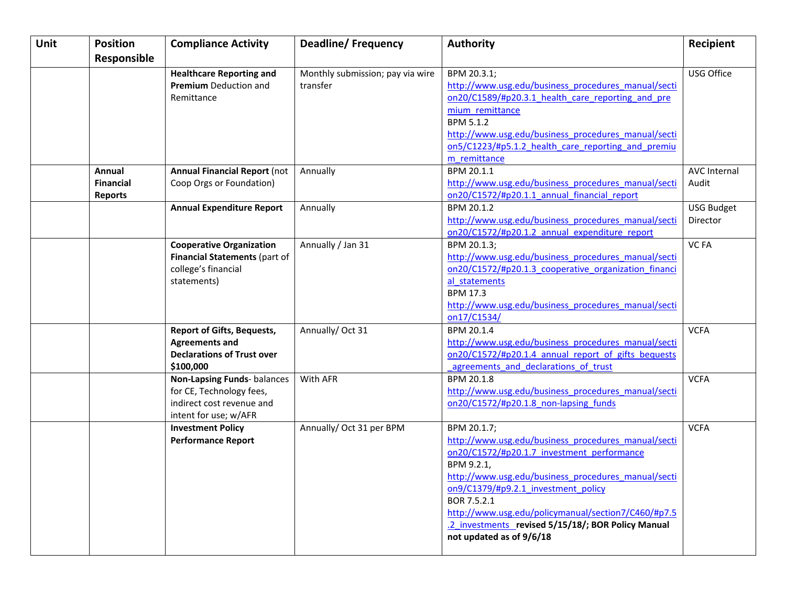| Unit | <b>Position</b>  | <b>Compliance Activity</b>          | <b>Deadline/Frequency</b>        | <b>Authority</b>                                     | Recipient           |
|------|------------------|-------------------------------------|----------------------------------|------------------------------------------------------|---------------------|
|      | Responsible      |                                     |                                  |                                                      |                     |
|      |                  | <b>Healthcare Reporting and</b>     | Monthly submission; pay via wire | BPM 20.3.1;                                          | USG Office          |
|      |                  | <b>Premium</b> Deduction and        | transfer                         | http://www.usg.edu/business procedures manual/secti  |                     |
|      |                  | Remittance                          |                                  | on20/C1589/#p20.3.1 health care reporting and pre    |                     |
|      |                  |                                     |                                  | mium remittance                                      |                     |
|      |                  |                                     |                                  | <b>BPM 5.1.2</b>                                     |                     |
|      |                  |                                     |                                  | http://www.usg.edu/business procedures manual/secti  |                     |
|      |                  |                                     |                                  | on5/C1223/#p5.1.2 health care reporting and premiu   |                     |
|      |                  |                                     |                                  | m remittance                                         |                     |
|      | Annual           | <b>Annual Financial Report (not</b> | Annually                         | BPM 20.1.1                                           | <b>AVC Internal</b> |
|      | <b>Financial</b> | Coop Orgs or Foundation)            |                                  | http://www.usg.edu/business procedures manual/secti  | Audit               |
|      | <b>Reports</b>   |                                     |                                  | on20/C1572/#p20.1.1 annual financial report          |                     |
|      |                  | <b>Annual Expenditure Report</b>    | Annually                         | BPM 20.1.2                                           | <b>USG Budget</b>   |
|      |                  |                                     |                                  | http://www.usg.edu/business procedures manual/secti  | Director            |
|      |                  |                                     |                                  | on20/C1572/#p20.1.2 annual expenditure report        |                     |
|      |                  | <b>Cooperative Organization</b>     | Annually / Jan 31                | BPM 20.1.3;                                          | VC FA               |
|      |                  | Financial Statements (part of       |                                  | http://www.usg.edu/business procedures manual/secti  |                     |
|      |                  | college's financial                 |                                  | on20/C1572/#p20.1.3 cooperative organization financi |                     |
|      |                  | statements)                         |                                  | al statements                                        |                     |
|      |                  |                                     |                                  | <b>BPM 17.3</b>                                      |                     |
|      |                  |                                     |                                  | http://www.usg.edu/business procedures manual/secti  |                     |
|      |                  |                                     |                                  | on17/C1534/                                          |                     |
|      |                  | <b>Report of Gifts, Bequests,</b>   | Annually/Oct 31                  | BPM 20.1.4                                           | <b>VCFA</b>         |
|      |                  | <b>Agreements and</b>               |                                  | http://www.usg.edu/business procedures manual/secti  |                     |
|      |                  | <b>Declarations of Trust over</b>   |                                  | on20/C1572/#p20.1.4 annual report of gifts bequests  |                     |
|      |                  | \$100,000                           |                                  | agreements and declarations of trust                 |                     |
|      |                  | Non-Lapsing Funds- balances         | With AFR                         | BPM 20.1.8                                           | <b>VCFA</b>         |
|      |                  | for CE, Technology fees,            |                                  | http://www.usg.edu/business procedures manual/secti  |                     |
|      |                  | indirect cost revenue and           |                                  | on20/C1572/#p20.1.8 non-lapsing funds                |                     |
|      |                  | intent for use; w/AFR               |                                  | BPM 20.1.7;                                          | <b>VCFA</b>         |
|      |                  | <b>Investment Policy</b>            | Annually/ Oct 31 per BPM         | http://www.usg.edu/business procedures manual/secti  |                     |
|      |                  | <b>Performance Report</b>           |                                  | on20/C1572/#p20.1.7 investment performance           |                     |
|      |                  |                                     |                                  | BPM 9.2.1,                                           |                     |
|      |                  |                                     |                                  | http://www.usg.edu/business procedures manual/secti  |                     |
|      |                  |                                     |                                  | on9/C1379/#p9.2.1 investment policy                  |                     |
|      |                  |                                     |                                  | BOR 7.5.2.1                                          |                     |
|      |                  |                                     |                                  | http://www.usg.edu/policymanual/section7/C460/#p7.5  |                     |
|      |                  |                                     |                                  | .2 investments revised 5/15/18/; BOR Policy Manual   |                     |
|      |                  |                                     |                                  | not updated as of 9/6/18                             |                     |
|      |                  |                                     |                                  |                                                      |                     |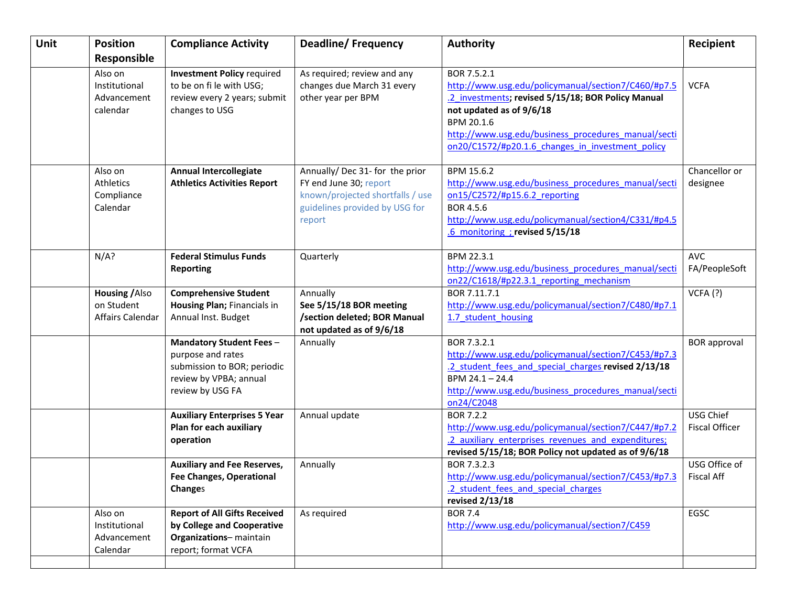| <b>Unit</b> | <b>Position</b>  | <b>Compliance Activity</b>                                     | <b>Deadline/Frequency</b>        | <b>Authority</b>                                                                       | Recipient             |
|-------------|------------------|----------------------------------------------------------------|----------------------------------|----------------------------------------------------------------------------------------|-----------------------|
|             | Responsible      |                                                                |                                  |                                                                                        |                       |
|             | Also on          | <b>Investment Policy required</b>                              | As required; review and any      | BOR 7.5.2.1                                                                            |                       |
|             | Institutional    | to be on fi le with USG;                                       | changes due March 31 every       | http://www.usg.edu/policymanual/section7/C460/#p7.5                                    | <b>VCFA</b>           |
|             | Advancement      | review every 2 years; submit                                   | other year per BPM               | .2 investments; revised 5/15/18; BOR Policy Manual                                     |                       |
|             | calendar         | changes to USG                                                 |                                  | not updated as of 9/6/18                                                               |                       |
|             |                  |                                                                |                                  | BPM 20.1.6                                                                             |                       |
|             |                  |                                                                |                                  | http://www.usg.edu/business procedures manual/secti                                    |                       |
|             |                  |                                                                |                                  | on20/C1572/#p20.1.6 changes in investment policy                                       |                       |
|             |                  |                                                                |                                  |                                                                                        |                       |
|             | Also on          | <b>Annual Intercollegiate</b>                                  | Annually/Dec 31- for the prior   | BPM 15.6.2                                                                             | Chancellor or         |
|             | Athletics        | <b>Athletics Activities Report</b>                             | FY end June 30; report           | http://www.usg.edu/business_procedures_manual/secti                                    | designee              |
|             | Compliance       |                                                                | known/projected shortfalls / use | on15/C2572/#p15.6.2 reporting                                                          |                       |
|             | Calendar         |                                                                | guidelines provided by USG for   | BOR 4.5.6                                                                              |                       |
|             |                  |                                                                | report                           | http://www.usg.edu/policymanual/section4/C331/#p4.5<br>.6 monitoring ; revised 5/15/18 |                       |
|             |                  |                                                                |                                  |                                                                                        |                       |
|             | N/A?             | <b>Federal Stimulus Funds</b>                                  | Quarterly                        | BPM 22.3.1                                                                             | <b>AVC</b>            |
|             |                  | <b>Reporting</b>                                               |                                  | http://www.usg.edu/business procedures manual/secti                                    | FA/PeopleSoft         |
|             |                  |                                                                |                                  | on22/C1618/#p22.3.1 reporting mechanism                                                |                       |
|             | Housing / Also   | <b>Comprehensive Student</b>                                   | Annually                         | BOR 7.11.7.1                                                                           | VCFA(?)               |
|             | on Student       | Housing Plan; Financials in                                    | See 5/15/18 BOR meeting          | http://www.usg.edu/policymanual/section7/C480/#p7.1                                    |                       |
|             | Affairs Calendar | Annual Inst. Budget                                            | /section deleted; BOR Manual     | 1.7 student housing                                                                    |                       |
|             |                  |                                                                | not updated as of 9/6/18         |                                                                                        |                       |
|             |                  | <b>Mandatory Student Fees-</b>                                 | Annually                         | BOR 7.3.2.1                                                                            | <b>BOR</b> approval   |
|             |                  | purpose and rates                                              |                                  | http://www.usg.edu/policymanual/section7/C453/#p7.3                                    |                       |
|             |                  | submission to BOR; periodic                                    |                                  | .2 student fees and special charges revised 2/13/18                                    |                       |
|             |                  | review by VPBA; annual                                         |                                  | BPM 24.1 - 24.4                                                                        |                       |
|             |                  | review by USG FA                                               |                                  | http://www.usg.edu/business procedures manual/secti                                    |                       |
|             |                  |                                                                |                                  | on24/C2048<br><b>BOR 7.2.2</b>                                                         | USG Chief             |
|             |                  | <b>Auxiliary Enterprises 5 Year</b><br>Plan for each auxiliary | Annual update                    | http://www.usg.edu/policymanual/section7/C447/#p7.2                                    | <b>Fiscal Officer</b> |
|             |                  | operation                                                      |                                  | .2 auxiliary enterprises revenues and expenditures;                                    |                       |
|             |                  |                                                                |                                  | revised 5/15/18; BOR Policy not updated as of 9/6/18                                   |                       |
|             |                  | <b>Auxiliary and Fee Reserves,</b>                             | Annually                         | BOR 7.3.2.3                                                                            | USG Office of         |
|             |                  | <b>Fee Changes, Operational</b>                                |                                  | http://www.usg.edu/policymanual/section7/C453/#p7.3                                    | <b>Fiscal Aff</b>     |
|             |                  | Changes                                                        |                                  | .2 student fees and special charges                                                    |                       |
|             |                  |                                                                |                                  | revised 2/13/18                                                                        |                       |
|             | Also on          | <b>Report of All Gifts Received</b>                            | As required                      | <b>BOR 7.4</b>                                                                         | EGSC                  |
|             | Institutional    | by College and Cooperative                                     |                                  | http://www.usg.edu/policymanual/section7/C459                                          |                       |
|             | Advancement      | Organizations-maintain                                         |                                  |                                                                                        |                       |
|             | Calendar         | report; format VCFA                                            |                                  |                                                                                        |                       |
|             |                  |                                                                |                                  |                                                                                        |                       |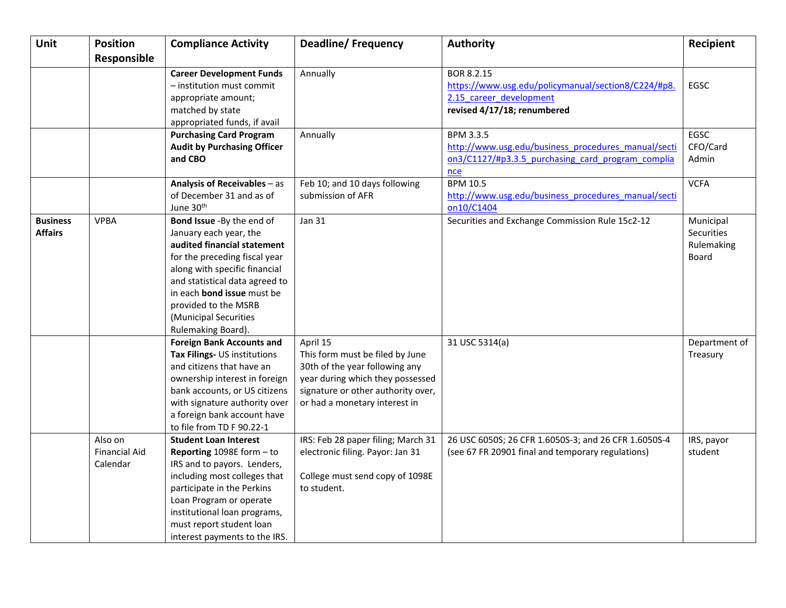| Unit            | <b>Position</b>      | <b>Compliance Activity</b>         | <b>Deadline/Frequency</b>          | <b>Authority</b>                                     | Recipient     |
|-----------------|----------------------|------------------------------------|------------------------------------|------------------------------------------------------|---------------|
|                 | Responsible          |                                    |                                    |                                                      |               |
|                 |                      | <b>Career Development Funds</b>    | Annually                           | BOR 8.2.15                                           |               |
|                 |                      | - institution must commit          |                                    | https://www.usg.edu/policymanual/section8/C224/#p8.  | EGSC          |
|                 |                      | appropriate amount;                |                                    | 2.15 career development                              |               |
|                 |                      | matched by state                   |                                    | revised 4/17/18; renumbered                          |               |
|                 |                      | appropriated funds, if avail       |                                    |                                                      |               |
|                 |                      | <b>Purchasing Card Program</b>     | Annually                           | <b>BPM 3.3.5</b>                                     | EGSC          |
|                 |                      | <b>Audit by Purchasing Officer</b> |                                    | http://www.usg.edu/business procedures manual/secti  | CFO/Card      |
|                 |                      | and CBO                            |                                    | on3/C1127/#p3.3.5 purchasing card program complia    | Admin         |
|                 |                      |                                    |                                    | nce                                                  |               |
|                 |                      | Analysis of Receivables - as       | Feb 10; and 10 days following      | <b>BPM 10.5</b>                                      | <b>VCFA</b>   |
|                 |                      | of December 31 and as of           | submission of AFR                  | http://www.usg.edu/business procedures manual/secti  |               |
|                 |                      | June 30 <sup>th</sup>              |                                    | on10/C1404                                           |               |
| <b>Business</b> | <b>VPBA</b>          | Bond Issue -By the end of          | <b>Jan 31</b>                      | Securities and Exchange Commission Rule 15c2-12      | Municipal     |
| <b>Affairs</b>  |                      | January each year, the             |                                    |                                                      | Securities    |
|                 |                      | audited financial statement        |                                    |                                                      | Rulemaking    |
|                 |                      | for the preceding fiscal year      |                                    |                                                      | Board         |
|                 |                      | along with specific financial      |                                    |                                                      |               |
|                 |                      | and statistical data agreed to     |                                    |                                                      |               |
|                 |                      | in each <b>bond issue</b> must be  |                                    |                                                      |               |
|                 |                      | provided to the MSRB               |                                    |                                                      |               |
|                 |                      | (Municipal Securities              |                                    |                                                      |               |
|                 |                      | Rulemaking Board).                 |                                    |                                                      |               |
|                 |                      | <b>Foreign Bank Accounts and</b>   | April 15                           | 31 USC 5314(a)                                       | Department of |
|                 |                      | Tax Filings- US institutions       | This form must be filed by June    |                                                      | Treasury      |
|                 |                      | and citizens that have an          | 30th of the year following any     |                                                      |               |
|                 |                      | ownership interest in foreign      | year during which they possessed   |                                                      |               |
|                 |                      | bank accounts, or US citizens      | signature or other authority over, |                                                      |               |
|                 |                      | with signature authority over      | or had a monetary interest in      |                                                      |               |
|                 |                      | a foreign bank account have        |                                    |                                                      |               |
|                 |                      | to file from TD F 90.22-1          |                                    |                                                      |               |
|                 | Also on              | <b>Student Loan Interest</b>       | IRS: Feb 28 paper filing; March 31 | 26 USC 6050S; 26 CFR 1.6050S-3; and 26 CFR 1.6050S-4 | IRS, payor    |
|                 | <b>Financial Aid</b> | Reporting 1098E form - to          | electronic filing. Payor: Jan 31   | (see 67 FR 20901 final and temporary regulations)    | student       |
|                 | Calendar             | IRS and to payors. Lenders,        |                                    |                                                      |               |
|                 |                      | including most colleges that       | College must send copy of 1098E    |                                                      |               |
|                 |                      | participate in the Perkins         | to student.                        |                                                      |               |
|                 |                      | Loan Program or operate            |                                    |                                                      |               |
|                 |                      | institutional loan programs,       |                                    |                                                      |               |
|                 |                      | must report student loan           |                                    |                                                      |               |
|                 |                      | interest payments to the IRS.      |                                    |                                                      |               |